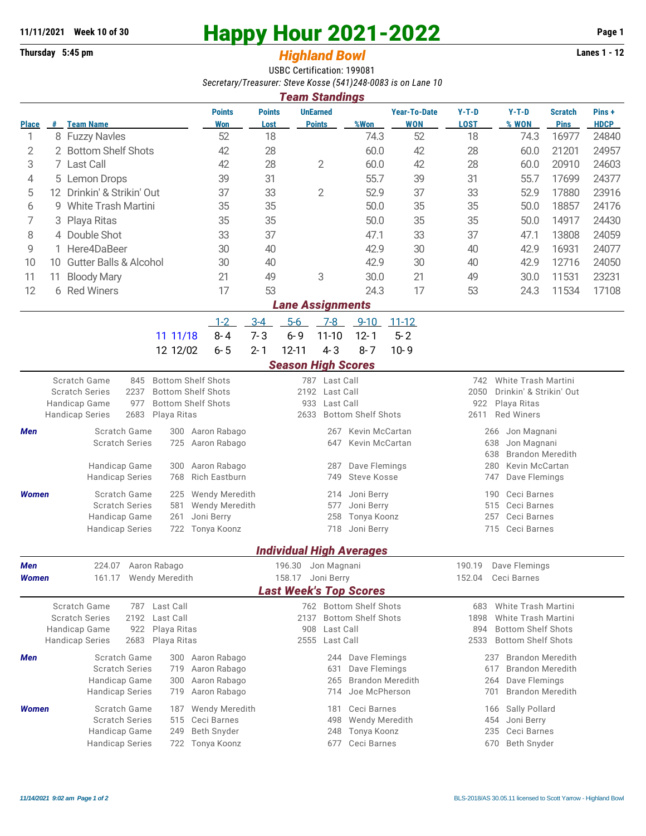## **11/11/2021** Week 10 of 30<br> **Happy Hour 2021-2022** Page 1<br> **Highland Rowl** Lanes 1 - 12<br>
Lanes 1 - 12

## **Thursday 5:45 pm** *Highland Bowl*

USBC Certification: 199081 *Secretary/Treasurer: Steve Kosse (541)248-0083 is on Lane 10*

| <b>Team Standings</b>         |                       |                                                                                   |                                         |                                            |                                 |                                  |                                                     |                                   |                                                                 |                                                                      |                               |                      |  |  |  |
|-------------------------------|-----------------------|-----------------------------------------------------------------------------------|-----------------------------------------|--------------------------------------------|---------------------------------|----------------------------------|-----------------------------------------------------|-----------------------------------|-----------------------------------------------------------------|----------------------------------------------------------------------|-------------------------------|----------------------|--|--|--|
| <b>Place</b>                  |                       | # Team Name                                                                       | <b>Points</b><br>Won                    | <b>Points</b><br>Lost                      |                                 | <b>UnEarned</b><br><b>Points</b> | %Won                                                | <b>Year-To-Date</b><br><b>WON</b> | $Y-T-D$<br><b>LOST</b>                                          | $Y-T-D$<br>% WON                                                     | <b>Scratch</b><br><b>Pins</b> | Pins+<br><b>HDCP</b> |  |  |  |
| 1                             |                       | 8 Fuzzy Navles                                                                    | 52                                      | 18                                         |                                 |                                  | 74.3                                                | 52                                | 18                                                              | 74.3                                                                 | 16977                         | 24840                |  |  |  |
| 2                             |                       | 2 Bottom Shelf Shots                                                              | 42                                      | 28                                         |                                 |                                  | 60.0                                                | 42                                | 28                                                              | 60.0                                                                 | 21201                         | 24957                |  |  |  |
| 3                             | 7 Last Call           |                                                                                   | 42                                      | 28                                         | $\overline{2}$                  |                                  | 60.0                                                | 42                                | 28                                                              | 60.0                                                                 | 20910                         | 24603                |  |  |  |
| 4                             |                       | 5 Lemon Drops                                                                     | 39                                      | 31                                         |                                 |                                  | 55.7                                                | 39                                | 31                                                              | 55.7                                                                 | 17699                         | 24377                |  |  |  |
| 5                             |                       | 12 Drinkin' & Strikin' Out                                                        | 37                                      | 33                                         | $\overline{2}$                  |                                  | 52.9                                                | 37                                | 33                                                              | 52.9                                                                 | 17880                         | 23916                |  |  |  |
| 6                             | 9 White Trash Martini |                                                                                   | 35                                      | 35                                         |                                 |                                  | 50.0                                                | 35                                | 35                                                              | 50.0                                                                 | 18857                         | 24176                |  |  |  |
| 7                             |                       | 3 Playa Ritas                                                                     | 35                                      | 35                                         |                                 |                                  | 50.0                                                | 35                                | 35                                                              | 50.0                                                                 | 14917                         | 24430                |  |  |  |
| 8                             |                       | 4 Double Shot                                                                     | 33                                      | 37                                         |                                 |                                  | 47.1                                                | 33                                | 37                                                              | 47.1                                                                 | 13808                         | 24059                |  |  |  |
| 9                             |                       | 1 Here4DaBeer                                                                     | 30                                      | 40                                         |                                 |                                  | 42.9                                                | 30                                | 40                                                              | 42.9                                                                 | 16931                         | 24077                |  |  |  |
| 10                            |                       | 10 Gutter Balls & Alcohol                                                         | 30                                      | 40                                         |                                 |                                  | 42.9                                                | 30                                | 40                                                              | 42.9                                                                 | 12716                         | 24050                |  |  |  |
| 11                            | 11                    | <b>Bloody Mary</b>                                                                | 21                                      | 49                                         |                                 | 3                                | 30.0                                                | 21                                | 49                                                              | 30.0                                                                 | 11531                         | 23231                |  |  |  |
| 12                            |                       | 6 Red Winers                                                                      | 17                                      | 53                                         |                                 |                                  | 24.3                                                | 17                                | 53                                                              | 24.3                                                                 | 11534                         | 17108                |  |  |  |
| <b>Lane Assignments</b>       |                       |                                                                                   |                                         |                                            |                                 |                                  |                                                     |                                   |                                                                 |                                                                      |                               |                      |  |  |  |
|                               |                       |                                                                                   | $1 - 2$                                 | $3 - 4$                                    | $5-6$                           | $7-8$                            | $9 - 10$                                            | $11 - 12$                         |                                                                 |                                                                      |                               |                      |  |  |  |
|                               |                       | 11 11/18                                                                          | $8 - 4$                                 | $7 - 3$                                    | $6 - 9$                         | $11 - 10$                        | $12 - 1$                                            | $5 - 2$                           |                                                                 |                                                                      |                               |                      |  |  |  |
|                               |                       | 12 12/02                                                                          | $6 - 5$                                 | $2 - 1$                                    | $12 - 11$                       | $4 - 3$                          | $8 - 7$                                             | $10 - 9$                          |                                                                 |                                                                      |                               |                      |  |  |  |
|                               |                       |                                                                                   |                                         |                                            |                                 |                                  |                                                     |                                   |                                                                 |                                                                      |                               |                      |  |  |  |
|                               |                       | <b>Bottom Shelf Shots</b>                                                         |                                         |                                            | <b>Season High Scores</b>       |                                  |                                                     |                                   |                                                                 |                                                                      |                               |                      |  |  |  |
|                               |                       | Scratch Game<br>845<br>2237<br><b>Bottom Shelf Shots</b><br><b>Scratch Series</b> |                                         |                                            | 787 Last Call<br>2192 Last Call |                                  |                                                     |                                   |                                                                 | <b>White Trash Martini</b><br>742<br>2050<br>Drinkin' & Strikin' Out |                               |                      |  |  |  |
|                               |                       | <b>Bottom Shelf Shots</b><br>Handicap Game<br>977                                 |                                         |                                            | 933                             | Last Call                        |                                                     |                                   | 922<br>Playa Ritas                                              |                                                                      |                               |                      |  |  |  |
|                               |                       | 2683<br><b>Handicap Series</b><br>Playa Ritas                                     |                                         | 2633                                       |                                 | <b>Bottom Shelf Shots</b>        |                                                     | <b>Red Winers</b><br>2611         |                                                                 |                                                                      |                               |                      |  |  |  |
| Men                           |                       | Scratch Game<br>300                                                               | Aaron Rabago                            |                                            |                                 | 267                              | Kevin McCartan                                      |                                   | Jon Magnani<br>266                                              |                                                                      |                               |                      |  |  |  |
|                               |                       | <b>Scratch Series</b><br>725                                                      | Aaron Rabago                            | Kevin McCartan<br>647                      |                                 |                                  |                                                     |                                   |                                                                 | 638<br>Jon Magnani                                                   |                               |                      |  |  |  |
|                               |                       |                                                                                   |                                         |                                            |                                 |                                  |                                                     |                                   |                                                                 | <b>Brandon Meredith</b><br>638                                       |                               |                      |  |  |  |
|                               |                       | Handicap Game<br>300<br><b>Handicap Series</b><br>768                             | Aaron Rabago<br><b>Rich Eastburn</b>    | Dave Flemings<br>287<br>Steve Kosse<br>749 |                                 |                                  |                                                     |                                   |                                                                 | 280<br>Kevin McCartan<br>Dave Flemings<br>747                        |                               |                      |  |  |  |
|                               |                       |                                                                                   |                                         |                                            |                                 |                                  |                                                     |                                   |                                                                 |                                                                      |                               |                      |  |  |  |
| <b>Women</b>                  |                       | Scratch Game<br>225<br><b>Scratch Series</b><br>581                               | <b>Wendy Meredith</b><br>Wendy Meredith | Joni Berry<br>214<br>Joni Berry<br>577     |                                 |                                  |                                                     |                                   |                                                                 | Ceci Barnes<br>190                                                   |                               |                      |  |  |  |
|                               |                       | Handicap Game<br>261                                                              | Joni Berry                              | Tonya Koonz<br>258                         |                                 |                                  |                                                     |                                   |                                                                 | 515<br>Ceci Barnes<br>257<br>Ceci Barnes                             |                               |                      |  |  |  |
|                               |                       | <b>Handicap Series</b><br>722                                                     | Tonya Koonz                             | 718<br>Joni Berry                          |                                 |                                  |                                                     |                                   | Ceci Barnes<br>715                                              |                                                                      |                               |                      |  |  |  |
|                               |                       |                                                                                   |                                         |                                            |                                 |                                  |                                                     |                                   |                                                                 |                                                                      |                               |                      |  |  |  |
|                               |                       |                                                                                   |                                         |                                            |                                 |                                  | <b>Individual High Averages</b>                     |                                   |                                                                 |                                                                      |                               |                      |  |  |  |
| Men                           |                       | 224.07<br>Aaron Rabago                                                            |                                         | 196.30<br>Jon Magnani                      |                                 |                                  |                                                     |                                   |                                                                 | 190.19<br>Dave Flemings                                              |                               |                      |  |  |  |
| Women                         |                       | Wendy Meredith<br>161.17                                                          |                                         |                                            | 158.17                          | Joni Berry                       |                                                     |                                   | 152.04<br>Ceci Barnes                                           |                                                                      |                               |                      |  |  |  |
| <b>Last Week's Top Scores</b> |                       |                                                                                   |                                         |                                            |                                 |                                  |                                                     |                                   |                                                                 |                                                                      |                               |                      |  |  |  |
|                               |                       | Scratch Game<br>Last Call<br>787                                                  |                                         |                                            |                                 |                                  | 762 Bottom Shelf Shots<br><b>Bottom Shelf Shots</b> |                                   | 683                                                             | <b>White Trash Martini</b>                                           |                               |                      |  |  |  |
|                               |                       | <b>Scratch Series</b><br>2192 Last Call<br>Handicap Game<br>Playa Ritas<br>922    |                                         |                                            | 2137<br>908                     | Last Call                        |                                                     |                                   | White Trash Martini<br>1898<br><b>Bottom Shelf Shots</b><br>894 |                                                                      |                               |                      |  |  |  |
|                               |                       | <b>Handicap Series</b><br>2683<br>Playa Ritas                                     |                                         | 2555 Last Call                             |                                 |                                  |                                                     |                                   | 2533<br><b>Bottom Shelf Shots</b>                               |                                                                      |                               |                      |  |  |  |
| Men                           |                       | Scratch Game<br>300                                                               | Aaron Rabago                            |                                            |                                 | 244                              | Dave Flemings                                       |                                   |                                                                 | <b>Brandon Meredith</b><br>237                                       |                               |                      |  |  |  |
|                               |                       | <b>Scratch Series</b><br>719                                                      | Aaron Rabago                            |                                            |                                 | 631                              | Dave Flemings                                       |                                   | <b>Brandon Meredith</b><br>617                                  |                                                                      |                               |                      |  |  |  |
|                               |                       | Handicap Game<br>300                                                              | Aaron Rabago                            | <b>Brandon Meredith</b><br>265             |                                 |                                  |                                                     |                                   | Dave Flemings<br>264                                            |                                                                      |                               |                      |  |  |  |
|                               |                       | <b>Handicap Series</b><br>719                                                     | Aaron Rabago                            | Joe McPherson<br>714                       |                                 |                                  |                                                     |                                   | <b>Brandon Meredith</b><br>701                                  |                                                                      |                               |                      |  |  |  |
| <b>Women</b>                  |                       | Scratch Game<br>187                                                               | Wendy Meredith                          |                                            |                                 | 181                              | Ceci Barnes                                         |                                   |                                                                 | Sally Pollard<br>166                                                 |                               |                      |  |  |  |
|                               |                       | <b>Scratch Series</b><br>515                                                      | Ceci Barnes                             | Wendy Meredith<br>498                      |                                 |                                  |                                                     |                                   | Joni Berry<br>454                                               |                                                                      |                               |                      |  |  |  |
|                               |                       | Handicap Game<br>249                                                              | Beth Snyder                             |                                            |                                 | 248                              | Tonya Koonz                                         |                                   |                                                                 | Ceci Barnes<br>235                                                   |                               |                      |  |  |  |
|                               |                       | <b>Handicap Series</b><br>722                                                     | Tonya Koonz                             |                                            |                                 | 677                              | Ceci Barnes                                         |                                   | 670                                                             | Beth Snyder                                                          |                               |                      |  |  |  |